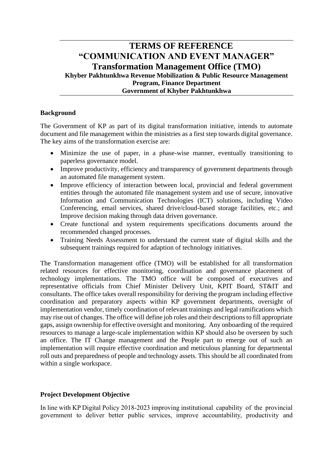# **TERMS OF REFERENCE "COMMUNICATION AND EVENT MANAGER" Transformation Management Office (TMO) Khyber Pakhtunkhwa Revenue Mobilization & Public Resource Management Program, Finance Department Government of Khyber Pakhtunkhwa**

## **Background**

The Government of KP as part of its digital transformation initiative, intends to automate document and file management within the ministries as a first step towards digital governance. The key aims of the transformation exercise are:

- Minimize the use of paper, in a phase-wise manner, eventually transitioning to paperless governance model.
- Improve productivity, efficiency and transparency of government departments through an automated file management system.
- Improve efficiency of interaction between local, provincial and federal government entities through the automated file management system and use of secure, innovative Information and Communication Technologies (ICT) solutions, including Video Conferencing, email services, shared drive/cloud-based storage facilities, etc.; and Improve decision making through data driven governance.
- Create functional and system requirements specifications documents around the recommended changed processes.
- Training Needs Assessment to understand the current state of digital skills and the subsequent trainings required for adaption of technology initiatives.

The Transformation management office (TMO) will be established for all transformation related resources for effective monitoring, coordination and governance placement of technology implementations. The TMO office will be composed of executives and representative officials from Chief Minister Delivery Unit, KPIT Board, ST&IT and consultants. The office takes overall responsibility for deriving the program including effective coordination and preparatory aspects within KP government departments, oversight of implementation vendor, timely coordination of relevant trainings and legal ramifications which may rise out of changes. The office will define job roles and their descriptions to fill appropriate gaps, assign ownership for effective oversight and monitoring. Any onboarding of the required resources to manage a large-scale implementation within KP should also be overseen by such an office. The IT Change management and the People part to emerge out of such an implementation will require effective coordination and meticulous planning for departmental roll outs and preparedness of people and technology assets. This should be all coordinated from within a single workspace.

# **Project Development Objective**

In line with KP Digital Policy 2018-2023 improving institutional capability of the provincial government to deliver better public services, improve accountability, productivity and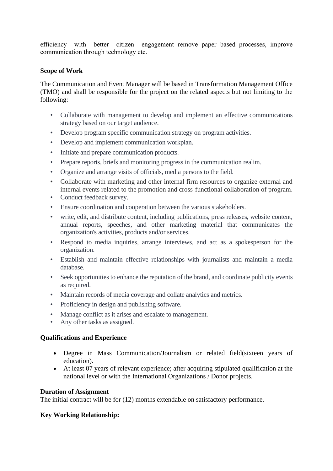efficiency with better citizen engagement remove paper based processes, improve communication through technology etc.

### **Scope of Work**

The Communication and Event Manager will be based in Transformation Management Office (TMO) and shall be responsible for the project on the related aspects but not limiting to the following:

- Collaborate with management to develop and implement an effective communications strategy based on our target audience.
- Develop program specific communication strategy on program activities.
- Develop and implement communication workplan.
- Initiate and prepare communication products.
- Prepare reports, briefs and monitoring progress in the communication realim.
- Organize and arrange visits of officials, media persons to the field.
- Collaborate with marketing and other internal firm resources to organize external and internal events related to the promotion and cross-functional collaboration of program.
- Conduct feedback survey.
- Ensure coordination and cooperation between the various stakeholders.
- write, edit, and distribute content, including publications, press releases, website content, annual reports, speeches, and other marketing material that communicates the organization's activities, products and/or services.
- Respond to media inquiries, arrange interviews, and act as a spokesperson for the organization.
- Establish and maintain effective relationships with journalists and maintain a media database.
- Seek opportunities to enhance the reputation of the brand, and coordinate publicity events as required.
- Maintain records of media coverage and collate analytics and metrics.
- Proficiency in design and publishing software.
- Manage conflict as it arises and escalate to management.
- Any other tasks as assigned.

#### **Qualifications and Experience**

- Degree in Mass Communication/Journalism or related field(sixteen years of education).
- At least 07 years of relevant experience; after acquiring stipulated qualification at the national level or with the International Organizations / Donor projects.

#### **Duration of Assignment**

The initial contract will be for (12) months extendable on satisfactory performance.

# **Key Working Relationship:**